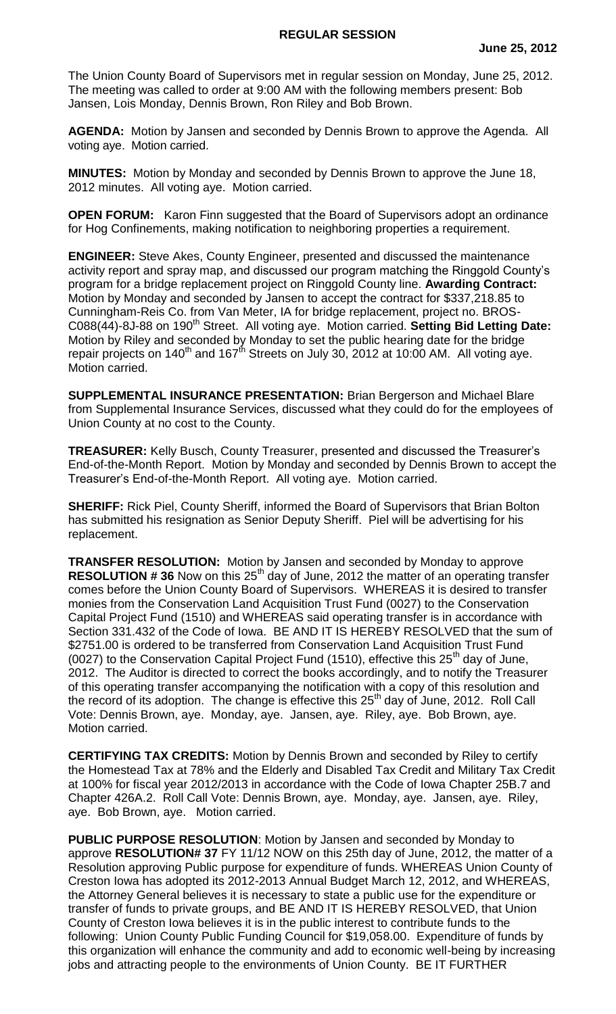The Union County Board of Supervisors met in regular session on Monday, June 25, 2012. The meeting was called to order at 9:00 AM with the following members present: Bob Jansen, Lois Monday, Dennis Brown, Ron Riley and Bob Brown.

**AGENDA:** Motion by Jansen and seconded by Dennis Brown to approve the Agenda. All voting aye. Motion carried.

**MINUTES:** Motion by Monday and seconded by Dennis Brown to approve the June 18, 2012 minutes. All voting aye. Motion carried.

**OPEN FORUM:** Karon Finn suggested that the Board of Supervisors adopt an ordinance for Hog Confinements, making notification to neighboring properties a requirement.

**ENGINEER:** Steve Akes, County Engineer, presented and discussed the maintenance activity report and spray map, and discussed our program matching the Ringgold County's program for a bridge replacement project on Ringgold County line. **Awarding Contract:**  Motion by Monday and seconded by Jansen to accept the contract for \$337,218.85 to Cunningham-Reis Co. from Van Meter, IA for bridge replacement, project no. BROS-C088(44)-8J-88 on 190<sup>th</sup> Street. All voting aye. Motion carried. Setting Bid Letting Date: Motion by Riley and seconded by Monday to set the public hearing date for the bridge repair projects on  $140^{th}$  and  $167^{th}$  Streets on July 30, 2012 at 10:00 AM. All voting aye. Motion carried.

**SUPPLEMENTAL INSURANCE PRESENTATION:** Brian Bergerson and Michael Blare from Supplemental Insurance Services, discussed what they could do for the employees of Union County at no cost to the County.

**TREASURER:** Kelly Busch, County Treasurer, presented and discussed the Treasurer's End-of-the-Month Report. Motion by Monday and seconded by Dennis Brown to accept the Treasurer's End-of-the-Month Report. All voting aye. Motion carried.

**SHERIFF:** Rick Piel, County Sheriff, informed the Board of Supervisors that Brian Bolton has submitted his resignation as Senior Deputy Sheriff. Piel will be advertising for his replacement.

**TRANSFER RESOLUTION:** Motion by Jansen and seconded by Monday to approve **RESOLUTION #36** Now on this 25<sup>th</sup> day of June, 2012 the matter of an operating transfer comes before the Union County Board of Supervisors. WHEREAS it is desired to transfer monies from the Conservation Land Acquisition Trust Fund (0027) to the Conservation Capital Project Fund (1510) and WHEREAS said operating transfer is in accordance with Section 331.432 of the Code of Iowa. BE AND IT IS HEREBY RESOLVED that the sum of \$2751.00 is ordered to be transferred from Conservation Land Acquisition Trust Fund (0027) to the Conservation Capital Project Fund (1510), effective this  $25<sup>th</sup>$  day of June, 2012. The Auditor is directed to correct the books accordingly, and to notify the Treasurer of this operating transfer accompanying the notification with a copy of this resolution and the record of its adoption. The change is effective this  $25<sup>th</sup>$  day of June, 2012. Roll Call Vote: Dennis Brown, aye. Monday, aye. Jansen, aye. Riley, aye. Bob Brown, aye. Motion carried.

**CERTIFYING TAX CREDITS:** Motion by Dennis Brown and seconded by Riley to certify the Homestead Tax at 78% and the Elderly and Disabled Tax Credit and Military Tax Credit at 100% for fiscal year 2012/2013 in accordance with the Code of Iowa Chapter 25B.7 and Chapter 426A.2. Roll Call Vote: Dennis Brown, aye. Monday, aye. Jansen, aye. Riley, aye. Bob Brown, aye. Motion carried.

**PUBLIC PURPOSE RESOLUTION**: Motion by Jansen and seconded by Monday to approve **RESOLUTION# 37** FY 11/12 NOW on this 25th day of June, 2012, the matter of a Resolution approving Public purpose for expenditure of funds. WHEREAS Union County of Creston Iowa has adopted its 2012-2013 Annual Budget March 12, 2012, and WHEREAS, the Attorney General believes it is necessary to state a public use for the expenditure or transfer of funds to private groups, and BE AND IT IS HEREBY RESOLVED, that Union County of Creston Iowa believes it is in the public interest to contribute funds to the following: Union County Public Funding Council for \$19,058.00. Expenditure of funds by this organization will enhance the community and add to economic well-being by increasing jobs and attracting people to the environments of Union County. BE IT FURTHER